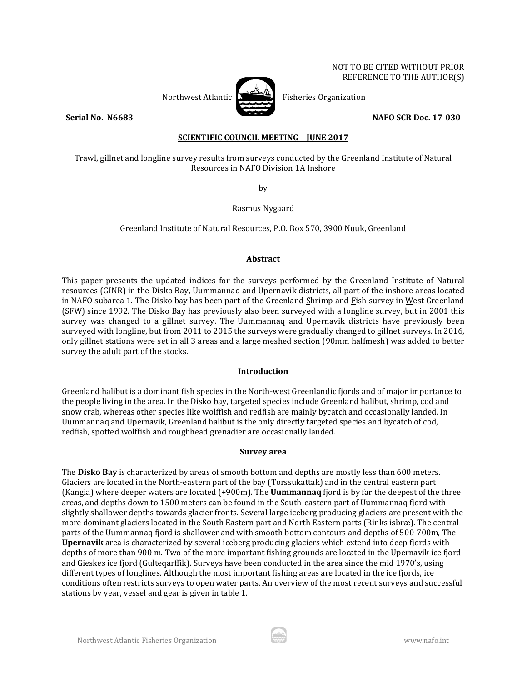NOT TO BE CITED WITHOUT PRIOR REFERENCE TO THE AUTHOR(S)

Northwest Atlantic  $\sum_{n=1}^{\infty}$  Fisheries Organization

**Serial No. N6683 NAFO SCR Doc. 17-030** 

**SCIENTIFIC COUNCIL MEETING – JUNE 2017**

Trawl, gillnet and longline survey results from surveys conducted by the Greenland Institute of Natural Resources in NAFO Division 1A Inshore

by

Rasmus Nygaard

Greenland Institute of Natural Resources, P.O. Box 570, 3900 Nuuk, Greenland

# **Abstract**

This paper presents the updated indices for the surveys performed by the Greenland Institute of Natural resources (GINR) in the Disko Bay, Uummannaq and Upernavik districts, all part of the inshore areas located in NAFO subarea 1. The Disko bay has been part of the Greenland Shrimp and Fish survey in West Greenland (SFW) since 1992. The Disko Bay has previously also been surveyed with a longline survey, but in 2001 this survey was changed to a gillnet survey. The Uummannaq and Upernavik districts have previously been surveyed with longline, but from 2011 to 2015 the surveys were gradually changed to gillnet surveys. In 2016, only gillnet stations were set in all 3 areas and a large meshed section (90mm halfmesh) was added to better survey the adult part of the stocks.

## **Introduction**

Greenland halibut is a dominant fish species in the North-west Greenlandic fjords and of major importance to the people living in the area. In the Disko bay, targeted species include Greenland halibut, shrimp, cod and snow crab, whereas other species like wolffish and redfish are mainly bycatch and occasionally landed. In Uummannaq and Upernavik, Greenland halibut is the only directly targeted species and bycatch of cod, redfish, spotted wolffish and roughhead grenadier are occasionally landed.

## **Survey area**

The **Disko Bay** is characterized by areas of smooth bottom and depths are mostly less than 600 meters. Glaciers are located in the North-eastern part of the bay (Torssukattak) and in the central eastern part (Kangia) where deeper waters are located (+900m). The **Uummannaq** fjord is by far the deepest of the three areas, and depths down to 1500 meters can be found in the South-eastern part of Uummannaq fjord with slightly shallower depths towards glacier fronts. Several large iceberg producing glaciers are present with the more dominant glaciers located in the South Eastern part and North Eastern parts (Rinks isbræ). The central parts of the Uummannaq fjord is shallower and with smooth bottom contours and depths of 500-700m, The **Upernavik** area is characterized by several iceberg producing glaciers which extend into deep fjords with depths of more than 900 m. Two of the more important fishing grounds are located in the Upernavik ice fjord and Gieskes ice fjord (Gulteqarffik). Surveys have been conducted in the area since the mid 1970's, using different types of longlines. Although the most important fishing areas are located in the ice fjords, ice conditions often restricts surveys to open water parts. An overview of the most recent surveys and successful stations by year, vessel and gear is given in table 1.

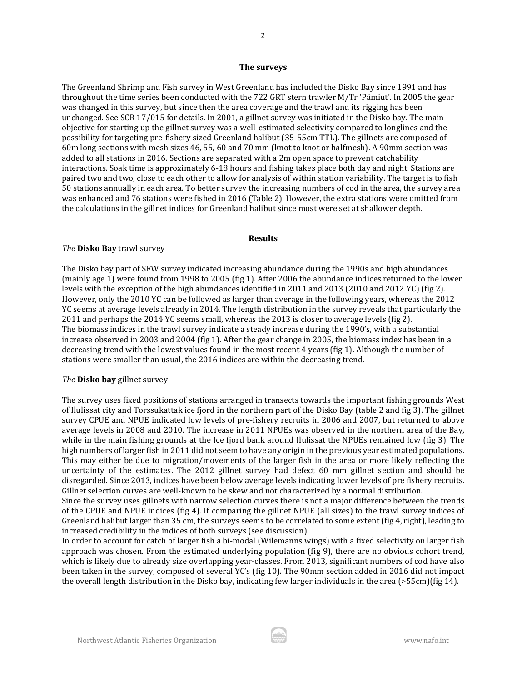#### **The surveys**

The Greenland Shrimp and Fish survey in West Greenland has included the Disko Bay since 1991 and has throughout the time series been conducted with the 722 GRT stern trawler M/Tr 'Pâmiut'. In 2005 the gear was changed in this survey, but since then the area coverage and the trawl and its rigging has been unchanged. See SCR 17/015 for details. In 2001, a gillnet survey was initiated in the Disko bay. The main objective for starting up the gillnet survey was a well-estimated selectivity compared to longlines and the possibility for targeting pre-fishery sized Greenland halibut (35-55cm TTL). The gillnets are composed of 60m long sections with mesh sizes 46, 55, 60 and 70 mm (knot to knot or halfmesh). A 90mm section was added to all stations in 2016. Sections are separated with a 2m open space to prevent catchability interactions. Soak time is approximately 6-18 hours and fishing takes place both day and night. Stations are paired two and two, close to each other to allow for analysis of within station variability. The target is to fish 50 stations annually in each area. To better survey the increasing numbers of cod in the area, the survey area was enhanced and 76 stations were fished in 2016 (Table 2). However, the extra stations were omitted from the calculations in the gillnet indices for Greenland halibut since most were set at shallower depth.

#### **Results**

### *The* **Disko Bay** trawl survey

The Disko bay part of SFW survey indicated increasing abundance during the 1990s and high abundances (mainly age 1) were found from 1998 to 2005 (fig 1). After 2006 the abundance indices returned to the lower levels with the exception of the high abundances identified in 2011 and 2013 (2010 and 2012 YC) (fig 2). However, only the 2010 YC can be followed as larger than average in the following years, whereas the 2012 YC seems at average levels already in 2014. The length distribution in the survey reveals that particularly the 2011 and perhaps the 2014 YC seems small, whereas the 2013 is closer to average levels (fig 2). The biomass indices in the trawl survey indicate a steady increase during the 1990's, with a substantial increase observed in 2003 and 2004 (fig 1). After the gear change in 2005, the biomass index has been in a decreasing trend with the lowest values found in the most recent 4 years (fig 1). Although the number of stations were smaller than usual, the 2016 indices are within the decreasing trend.

## *The* **Disko bay** gillnet survey

The survey uses fixed positions of stations arranged in transects towards the important fishing grounds West of Ilulissat city and Torssukattak ice fjord in the northern part of the Disko Bay (table 2 and fig 3). The gillnet survey CPUE and NPUE indicated low levels of pre-fishery recruits in 2006 and 2007, but returned to above average levels in 2008 and 2010. The increase in 2011 NPUEs was observed in the northern area of the Bay, while in the main fishing grounds at the Ice fjord bank around Ilulissat the NPUEs remained low (fig 3). The high numbers of larger fish in 2011 did not seem to have any origin in the previous year estimated populations. This may either be due to migration/movements of the larger fish in the area or more likely reflecting the uncertainty of the estimates. The 2012 gillnet survey had defect 60 mm gillnet section and should be disregarded. Since 2013, indices have been below average levels indicating lower levels of pre fishery recruits. Gillnet selection curves are well-known to be skew and not characterized by a normal distribution.

Since the survey uses gillnets with narrow selection curves there is not a major difference between the trends of the CPUE and NPUE indices (fig 4). If comparing the gillnet NPUE (all sizes) to the trawl survey indices of Greenland halibut larger than 35 cm, the surveys seems to be correlated to some extent (fig 4, right), leading to increased credibility in the indices of both surveys (see discussion).

In order to account for catch of larger fish a bi-modal (Wilemanns wings) with a fixed selectivity on larger fish approach was chosen. From the estimated underlying population (fig 9), there are no obvious cohort trend, which is likely due to already size overlapping year-classes. From 2013, significant numbers of cod have also been taken in the survey, composed of several YC's (fig 10). The 90mm section added in 2016 did not impact the overall length distribution in the Disko bay, indicating few larger individuals in the area (>55cm)(fig 14).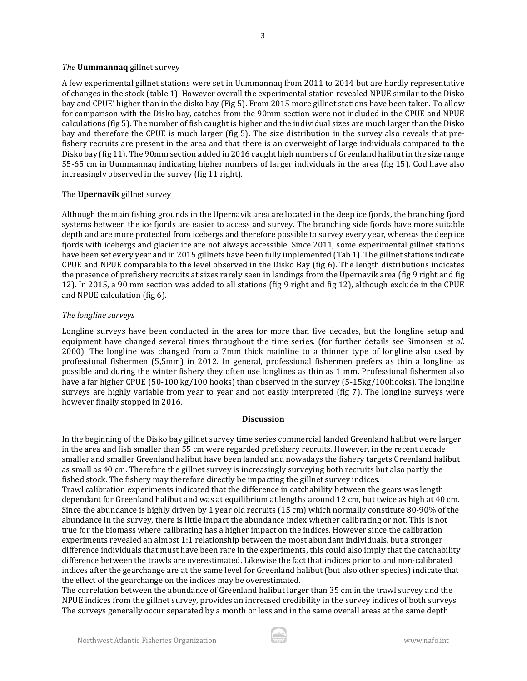#### *The* **Uummannaq** gillnet survey

A few experimental gillnet stations were set in Uummannaq from 2011 to 2014 but are hardly representative of changes in the stock (table 1). However overall the experimental station revealed NPUE similar to the Disko bay and CPUE' higher than in the disko bay (Fig 5). From 2015 more gillnet stations have been taken. To allow for comparison with the Disko bay, catches from the 90mm section were not included in the CPUE and NPUE calculations (fig 5). The number of fish caught is higher and the individual sizes are much larger than the Disko bay and therefore the CPUE is much larger (fig 5). The size distribution in the survey also reveals that prefishery recruits are present in the area and that there is an overweight of large individuals compared to the Disko bay (fig 11). The 90mm section added in 2016 caught high numbers of Greenland halibut in the size range 55-65 cm in Uummannaq indicating higher numbers of larger individuals in the area (fig 15). Cod have also increasingly observed in the survey (fig 11 right).

## The **Upernavik** gillnet survey

Although the main fishing grounds in the Upernavik area are located in the deep ice fjords, the branching fjord systems between the ice fjords are easier to access and survey. The branching side fjords have more suitable depth and are more protected from icebergs and therefore possible to survey every year, whereas the deep ice fjords with icebergs and glacier ice are not always accessible. Since 2011, some experimental gillnet stations have been set every year and in 2015 gillnets have been fully implemented (Tab 1). The gillnet stations indicate CPUE and NPUE comparable to the level observed in the Disko Bay (fig 6). The length distributions indicates the presence of prefishery recruits at sizes rarely seen in landings from the Upernavik area (fig 9 right and fig 12). In 2015, a 90 mm section was added to all stations (fig 9 right and fig 12), although exclude in the CPUE and NPUE calculation (fig 6).

#### *The longline surveys*

Longline surveys have been conducted in the area for more than five decades, but the longline setup and equipment have changed several times throughout the time series. (for further details see Simonsen *et al*. 2000). The longline was changed from a 7mm thick mainline to a thinner type of longline also used by professional fishermen (5,5mm) in 2012. In general, professional fishermen prefers as thin a longline as possible and during the winter fishery they often use longlines as thin as 1 mm. Professional fishermen also have a far higher CPUE (50-100 kg/100 hooks) than observed in the survey (5-15kg/100hooks). The longline surveys are highly variable from year to year and not easily interpreted (fig 7). The longline surveys were however finally stopped in 2016.

### **Discussion**

In the beginning of the Disko bay gillnet survey time series commercial landed Greenland halibut were larger in the area and fish smaller than 55 cm were regarded prefishery recruits. However, in the recent decade smaller and smaller Greenland halibut have been landed and nowadays the fishery targets Greenland halibut as small as 40 cm. Therefore the gillnet survey is increasingly surveying both recruits but also partly the fished stock. The fishery may therefore directly be impacting the gillnet survey indices. Trawl calibration experiments indicated that the difference in catchability between the gears was length dependant for Greenland halibut and was at equilibrium at lengths around 12 cm, but twice as high at 40 cm. Since the abundance is highly driven by 1 year old recruits (15 cm) which normally constitute 80-90% of the abundance in the survey, there is little impact the abundance index whether calibrating or not. This is not true for the biomass where calibrating has a higher impact on the indices. However since the calibration experiments revealed an almost 1:1 relationship between the most abundant individuals, but a stronger difference individuals that must have been rare in the experiments, this could also imply that the catchability difference between the trawls are overestimated. Likewise the fact that indices prior to and non-calibrated indices after the gearchange are at the same level for Greenland halibut (but also other species) indicate that

The correlation between the abundance of Greenland halibut larger than 35 cm in the trawl survey and the NPUE indices from the gillnet survey, provides an increased credibility in the survey indices of both surveys. The surveys generally occur separated by a month or less and in the same overall areas at the same depth

the effect of the gearchange on the indices may be overestimated.

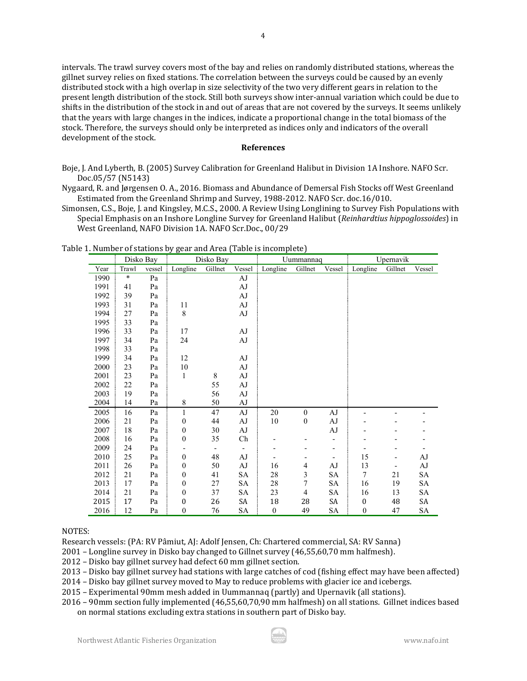intervals. The trawl survey covers most of the bay and relies on randomly distributed stations, whereas the gillnet survey relies on fixed stations. The correlation between the surveys could be caused by an evenly distributed stock with a high overlap in size selectivity of the two very different gears in relation to the present length distribution of the stock. Still both surveys show inter-annual variation which could be due to shifts in the distribution of the stock in and out of areas that are not covered by the surveys. It seems unlikely that the years with large changes in the indices, indicate a proportional change in the total biomass of the stock. Therefore, the surveys should only be interpreted as indices only and indicators of the overall development of the stock.

4

### **References**

Boje, J. And Lyberth, B. (2005) Survey Calibration for Greenland Halibut in Division 1A Inshore. NAFO Scr. Doc.05/57 (N5143)

Nygaard, R. and Jørgensen O. A., 2016. Biomass and Abundance of Demersal Fish Stocks off West Greenland Estimated from the Greenland Shrimp and Survey, 1988-2012. NAFO Scr. doc.16/010.

Simonsen, C.S., Boje, J. and Kingsley, M.C.S., 2000. A Review Using Longlining to Survey Fish Populations with Special Emphasis on an Inshore Longline Survey for Greenland Halibut (*Reinhardtius hippoglossoides*) in West Greenland, NAFO Division 1A. NAFO Scr.Doc., 00/29

|      | Disko Bay |        | Disko Bay        |                          |                   |                  | Uummannaq        |                          | Upernavik                |         |        |  |
|------|-----------|--------|------------------|--------------------------|-------------------|------------------|------------------|--------------------------|--------------------------|---------|--------|--|
| Year | Trawl     | vessel | Longline         | Gillnet                  | Vessel            | Longline         | Gillnet          | Vessel                   | Longline                 | Gillnet | Vessel |  |
| 1990 | *         | Pa     |                  |                          | AJ                |                  |                  |                          |                          |         |        |  |
| 1991 | 41        | Pa     |                  |                          | AJ                |                  |                  |                          |                          |         |        |  |
| 1992 | 39        | Pa     |                  |                          | AJ                |                  |                  |                          |                          |         |        |  |
| 1993 | 31        | Pa     | 11               |                          | AJ                |                  |                  |                          |                          |         |        |  |
| 1994 | 27        | Pa     | 8                |                          | AJ                |                  |                  |                          |                          |         |        |  |
| 1995 | 33        | Pa     |                  |                          |                   |                  |                  |                          |                          |         |        |  |
| 1996 | 33        | Pa     | 17               |                          | AJ                |                  |                  |                          |                          |         |        |  |
| 1997 | 34        | Pa     | 24               |                          | $\rm AJ$          |                  |                  |                          |                          |         |        |  |
| 1998 | 33        | Pa     |                  |                          |                   |                  |                  |                          |                          |         |        |  |
| 1999 | 34        | Pa     | 12               |                          | $\rm AJ$          |                  |                  |                          |                          |         |        |  |
| 2000 | 23        | Pa     | 10               |                          | AJ                |                  |                  |                          |                          |         |        |  |
| 2001 | 23        | Pa     | $\mathbf{1}$     | 8                        | AJ                |                  |                  |                          |                          |         |        |  |
| 2002 | 22        | Pa     |                  | 55                       | AJ                |                  |                  |                          |                          |         |        |  |
| 2003 | 19        | Pa     |                  | 56                       | AJ                |                  |                  |                          |                          |         |        |  |
| 2004 | 14        | Pa     | 8                | 50                       | AJ                |                  |                  |                          |                          |         |        |  |
| 2005 | 16        | Pa     | $\mathbf{1}$     | 47                       | $\rm AJ$          | 20               | $\boldsymbol{0}$ | AJ                       |                          |         |        |  |
| 2006 | 21        | Pa     | $\boldsymbol{0}$ | 44                       | $\rm AJ$          | $10\,$           | $\boldsymbol{0}$ | ${\rm AJ}$               |                          |         |        |  |
| 2007 | 18        | Pa     | $\boldsymbol{0}$ | 30                       | AJ                |                  |                  | AJ                       |                          |         |        |  |
| 2008 | 16        | Pa     | $\boldsymbol{0}$ | 35                       | Ch                |                  |                  |                          |                          |         |        |  |
| 2009 | 24        | Pa     |                  | $\overline{\phantom{a}}$ | $\qquad \qquad -$ |                  |                  | $\overline{\phantom{a}}$ | $\overline{\phantom{a}}$ |         |        |  |
| 2010 | 25        | Pa     | $\boldsymbol{0}$ | 48                       | $\rm AJ$          |                  |                  |                          | 15                       |         | AJ     |  |
| 2011 | 26        | Pa     | $\boldsymbol{0}$ | 50                       | AJ                | 16               | $\overline{4}$   | AJ                       | 13                       | -       | AJ     |  |
| 2012 | 21        | Pa     | 0                | 41                       | SA                | 28               | 3                | SA                       | $\overline{7}$           | 21      | SA     |  |
| 2013 | 17        | Pa     | 0                | 27                       | SA                | 28               | 7                | SA                       | 16                       | 19      | SA     |  |
| 2014 | 21        | Pa     | $\boldsymbol{0}$ | 37                       | SA                | 23               | 4                | SA                       | 16                       | 13      | SA     |  |
| 2015 | 17        | Pa     | 0                | 26                       | SA                | 18               | 28               | SA                       | $\boldsymbol{0}$         | 48      | SA     |  |
| 2016 | 12        | Pa     | $\mathbf{0}$     | 76                       | SА                | $\boldsymbol{0}$ | 49               | SА                       | $\boldsymbol{0}$         | 47      | SA     |  |

Table 1. Number of stations by gear and Area (Table is incomplete)

### NOTES:

Research vessels: (PA: RV Pâmiut, AJ: Adolf Jensen, Ch: Chartered commercial, SA: RV Sanna)

2001 – Longline survey in Disko bay changed to Gillnet survey (46,55,60,70 mm halfmesh).

2012 – Disko bay gillnet survey had defect 60 mm gillnet section.

2013 – Disko bay gillnet survey had stations with large catches of cod (fishing effect may have been affected)

2014 – Disko bay gillnet survey moved to May to reduce problems with glacier ice and icebergs.

2015 – Experimental 90mm mesh added in Uummannaq (partly) and Upernavik (all stations).

2016 – 90mm section fully implemented (46,55,60,70,90 mm halfmesh) on all stations. Gillnet indices based on normal stations excluding extra stations in southern part of Disko bay.

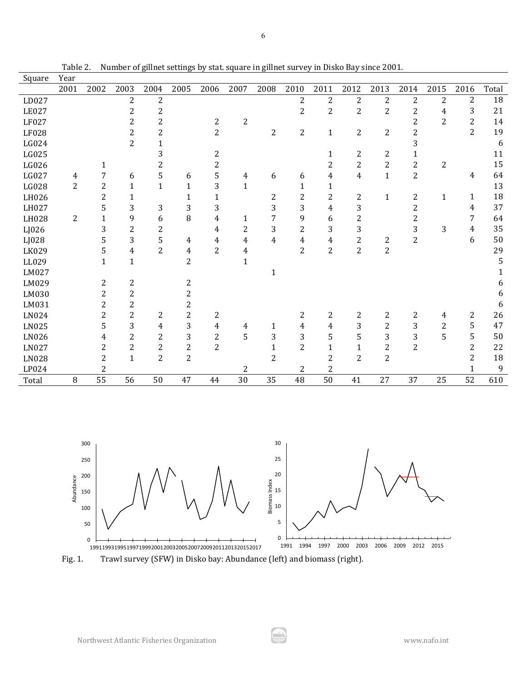| Square | Year           |                |                |                |                |                |              |                |                |                |                |                |                |                |                |       |
|--------|----------------|----------------|----------------|----------------|----------------|----------------|--------------|----------------|----------------|----------------|----------------|----------------|----------------|----------------|----------------|-------|
|        | 2001           | 2002           | 2003           | 2004           | 2005           | 2006           | 2007         | 2008           | 2010           | 2011           | 2012           | 2013           | 2014           | 2015           | 2016           | Total |
| LD027  |                |                | 2              | 2              |                |                |              |                | $\overline{2}$ | $\overline{c}$ | $\overline{c}$ | $\overline{2}$ | 2              | $\overline{2}$ | $\overline{2}$ | 18    |
| LE027  |                |                | $\overline{2}$ | $\overline{c}$ |                |                |              |                | $\overline{2}$ | 2              | $\overline{2}$ | 2              | 2              | 4              | 3              | 21    |
| LF027  |                |                | 2              | 2              |                | 2              | 2            |                |                |                |                |                | 2              | $\overline{2}$ | 2              | 14    |
| LF028  |                |                | 2              | 2              |                | $\overline{2}$ |              | 2              | $\overline{c}$ | $\mathbf{1}$   | $\overline{c}$ | 2              | 2              |                | $\overline{2}$ | 19    |
| LG024  |                |                | $\overline{2}$ | $\mathbf{1}$   |                |                |              |                |                |                |                |                | 3              |                |                | 6     |
| LG025  |                |                |                | 3              |                | 2              |              |                |                | 1              | 2              | 2              | 1              |                |                | 11    |
| LG026  |                | 1              |                | 2              |                | $\overline{c}$ |              |                |                | 2              | $\overline{c}$ | $\overline{c}$ | $\overline{c}$ | $\overline{c}$ |                | 15    |
| LG027  | 4              | 7              | 6              | 5              | 6              | 5              | 4            | 6              | 6              | 4              | 4              | $\mathbf{1}$   | $\overline{c}$ |                | 4              | 64    |
| LG028  | $\overline{2}$ | $\overline{c}$ | 1              | $\mathbf{1}$   | $\mathbf{1}$   | 3              | $\mathbf{1}$ |                | 1              | $\mathbf{1}$   |                |                |                |                |                | 13    |
| LH026  |                | $\overline{2}$ | $\mathbf{1}$   |                | $\mathbf{1}$   | $\mathbf{1}$   |              | 2              | $\overline{2}$ | 2              | $\overline{c}$ | $\mathbf{1}$   | $\overline{c}$ | $\mathbf{1}$   | $\mathbf{1}$   | 18    |
| LH027  |                | 5              | 3              | 3              | 3              | 3              |              | 3              | 3              | 4              | 3              |                | 2              |                | 4              | 37    |
| LH028  | $\overline{c}$ | 1              | 9              | 6              | 8              | 4              | 1            | 7              | 9              | 6              | $\overline{c}$ |                | 2              |                | 7              | 64    |
| LJ026  |                | 3              | $\overline{2}$ | $\overline{c}$ |                | 4              | 2            | 3              | $\overline{2}$ | 3              | 3              |                | 3              | 3              | 4              | 35    |
| LJ028  |                | 5              | 3              | 5              | 4              | 4              | 4            | 4              | 4              | 4              | $\overline{2}$ | 2              | $\overline{2}$ |                | 6              | 50    |
| LK029  |                | 5              | 4              | $\overline{2}$ | 4              | 2              | 4            |                | $\overline{2}$ | $\overline{c}$ | $\overline{2}$ | $\overline{2}$ |                |                |                | 29    |
| LL029  |                | $\mathbf{1}$   | $\mathbf{1}$   |                | $\overline{2}$ |                | $\mathbf{1}$ |                |                |                |                |                |                |                |                | 5     |
| LM027  |                |                |                |                |                |                |              | 1              |                |                |                |                |                |                |                |       |
| LM029  |                | $\overline{2}$ | $\overline{c}$ |                | $\overline{c}$ |                |              |                |                |                |                |                |                |                |                | 6     |
| LM030  |                | $\overline{2}$ | $\overline{2}$ |                | $\overline{c}$ |                |              |                |                |                |                |                |                |                |                | 6     |
| LM031  |                | $\overline{2}$ | $\overline{c}$ |                | $\overline{2}$ |                |              |                |                |                |                |                |                |                |                | 6     |
| LN024  |                | $\overline{2}$ | $\overline{c}$ | 2              | $\overline{2}$ | 2              |              |                | 2              | 2              | 2              | 2              | 2              | 4              | 2              | 26    |
| LN025  |                | 5              | 3              | 4              | 3              | 4              | 4            | $\mathbf{1}$   | $\overline{4}$ | $\overline{4}$ | 3              | $\overline{c}$ | 3              | $\overline{2}$ | 5              | 47    |
| LN026  |                | 4              | 2              | 2              | 3              | $\overline{c}$ | 5            | 3              | 3              | 5              | 5              | 3              | 3              | 5              | 5              | 50    |
| LN027  |                | $\overline{2}$ | 2              | 2              | $\overline{2}$ | $\overline{2}$ |              | 1              | $\overline{2}$ | $\mathbf{1}$   | $\mathbf{1}$   | $\overline{c}$ | 2              |                | $\overline{2}$ | 22    |
| LN028  |                | $\overline{2}$ | $\mathbf{1}$   | $\overline{2}$ | $\overline{2}$ |                |              | $\overline{2}$ |                | $\overline{2}$ | $\overline{2}$ | $\overline{2}$ |                |                | 2              | 18    |
| LP024  |                | $\overline{2}$ |                |                |                |                | 2            |                | 2              | 2              |                |                |                |                |                | 9     |
| Total  | 8              | 55             | 56             | 50             | 47             | 44             | 30           | 35             | 48             | 50             | 41             | 27             | 37             | 25             | 52             | 610   |

Table 2. Number of gillnet settings by stat. square in gillnet survey in Disko Bay since 2001.



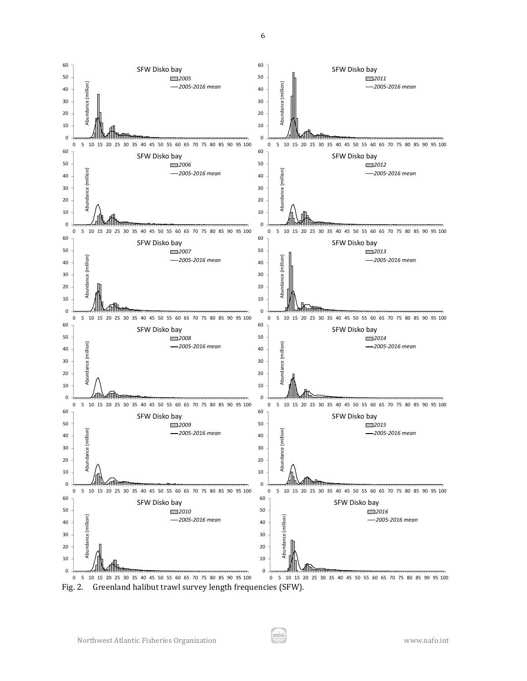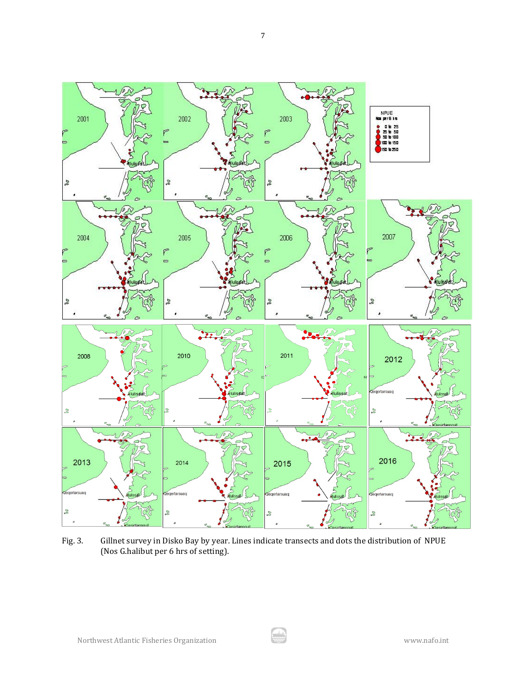

Fig. 3. Gillnet survey in Disko Bay by year. Lines indicate transects and dots the distribution of NPUE (Nos G.halibut per 6 hrs of setting).

بيشد<br>حصد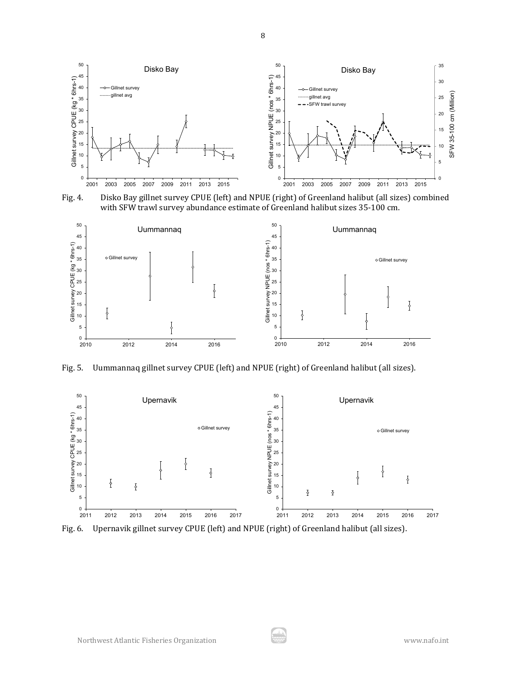

Fig. 4. Disko Bay gillnet survey CPUE (left) and NPUE (right) of Greenland halibut (all sizes) combined with SFW trawl survey abundance estimate of Greenland halibut sizes 35-100 cm.



Fig. 5. Uummannaq gillnet survey CPUE (left) and NPUE (right) of Greenland halibut (all sizes).



Fig. 6. Upernavik gillnet survey CPUE (left) and NPUE (right) of Greenland halibut (all sizes).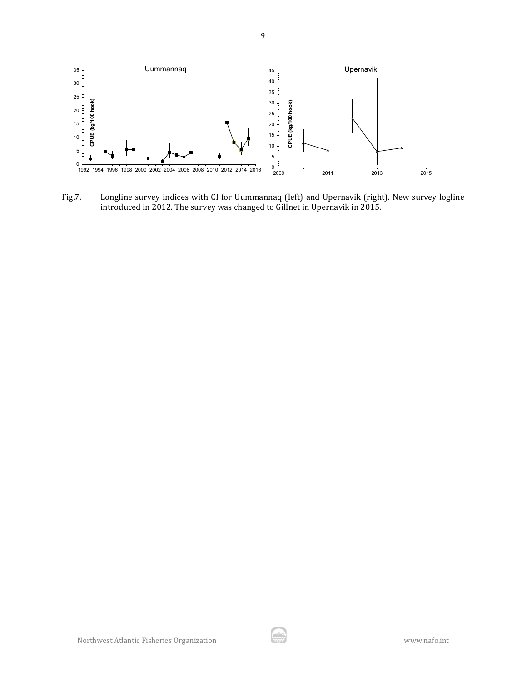

Fig.7. Longline survey indices with CI for Uummannaq (left) and Upernavik (right). New survey logline introduced in 2012. The survey was changed to Gillnet in Upernavik in 2015.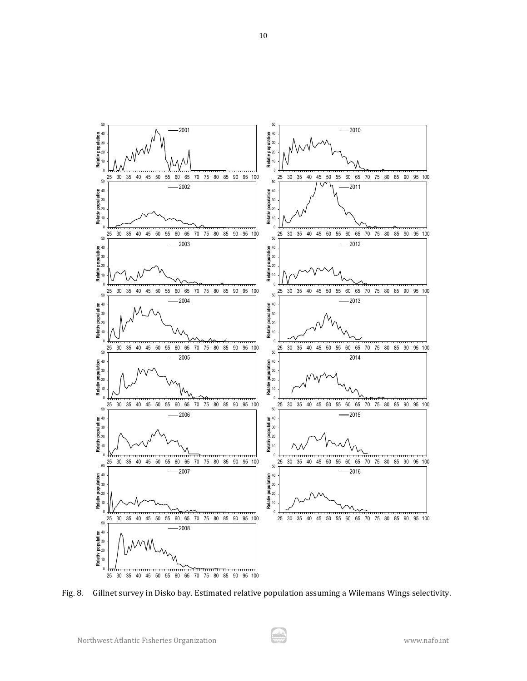

Fig. 8. Gillnet survey in Disko bay. Estimated relative population assuming a Wilemans Wings selectivity.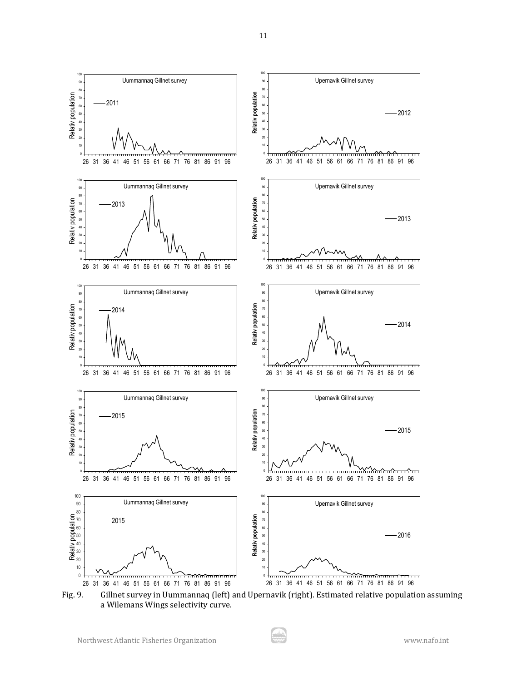

Fig. 9. Gillnet survey in Uummannaq (left) and Upernavik (right). Estimated relative population assuming a Wilemans Wings selectivity curve.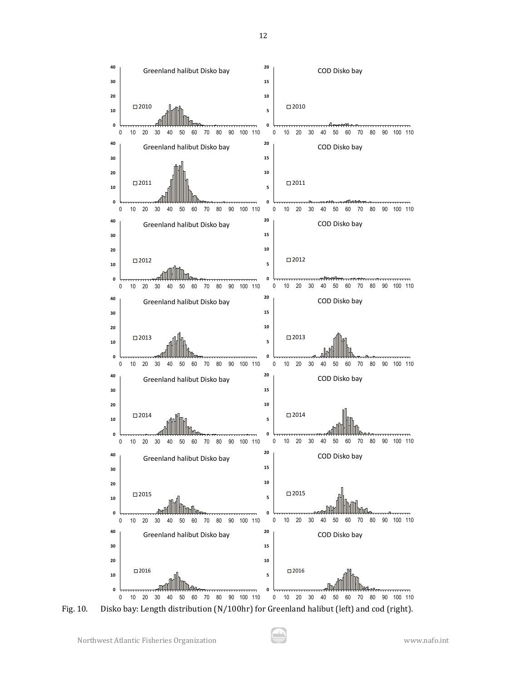

Fig. 10. Disko bay: Length distribution (N/100hr) for Greenland halibut (left) and cod (right).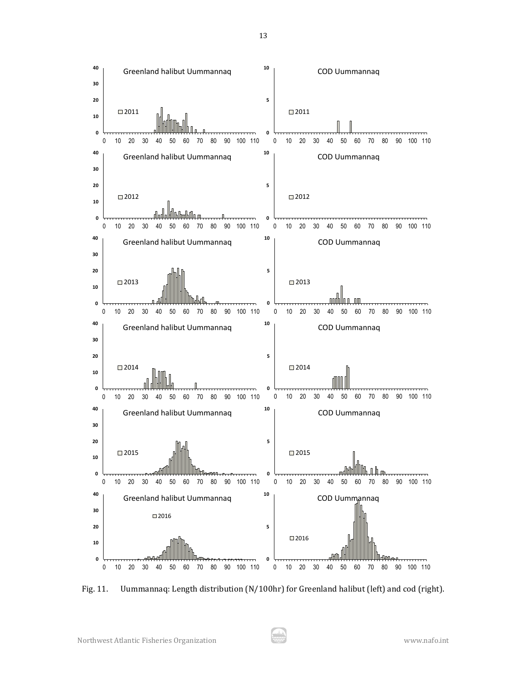

Fig. 11. Uummannaq: Length distribution (N/100hr) for Greenland halibut (left) and cod (right).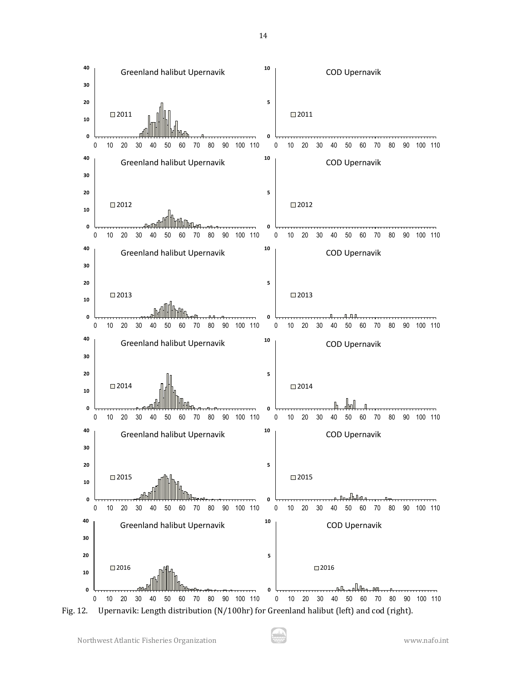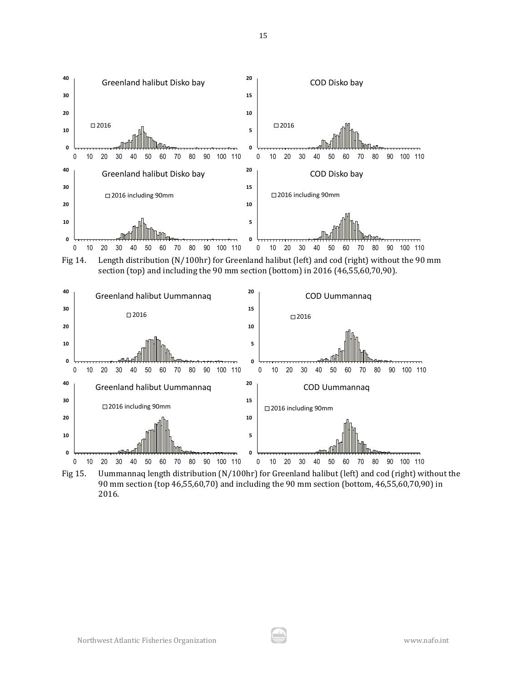

90 mm section (top 46,55,60,70) and including the 90 mm section (bottom, 46,55,60,70,90) in 2016.